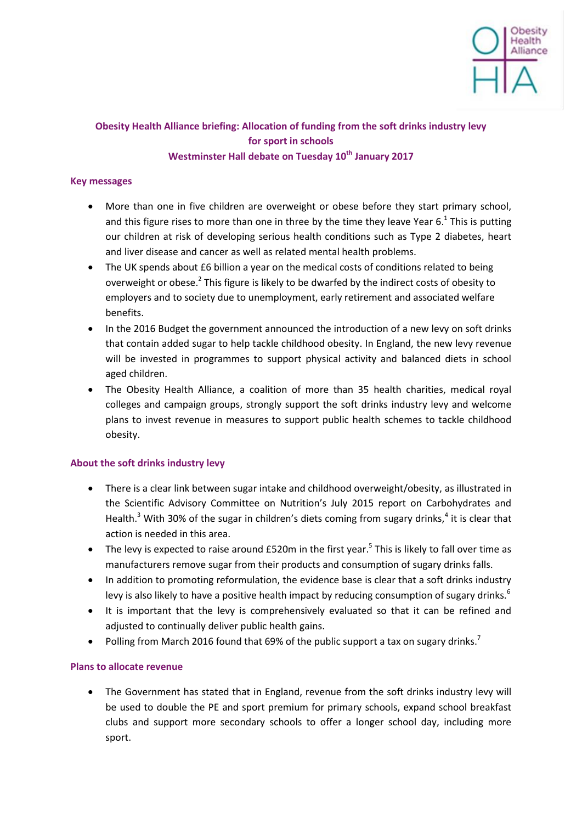

# **Obesity Health Alliance briefing: Allocation of funding from the soft drinks industry levy for sport in schools Westminster Hall debate on Tuesday 10th January 2017**

## **Key messages**

- More than one in five children are overweight or obese before they start primary school, and this figure rises to more than one in three by the time they leave Year 6. $^1$  This is putting our children at risk of developing serious health conditions such as Type 2 diabetes, heart and liver disease and cancer as well as related mental health problems.
- The UK spends about £6 billion a year on the medical costs of conditions related to being overweight or obese.<sup>2</sup> This figure is likely to be dwarfed by the indirect costs of obesity to employers and to society due to unemployment, early retirement and associated welfare benefits.
- In the 2016 Budget the government announced the introduction of a new levy on soft drinks that contain added sugar to help tackle childhood obesity. In England, the new levy revenue will be invested in programmes to support physical activity and balanced diets in school aged children.
- The Obesity Health Alliance, a coalition of more than 35 health charities, medical royal colleges and campaign groups, strongly support the soft drinks industry levy and welcome plans to invest revenue in measures to support public health schemes to tackle childhood obesity.

### **About the soft drinks industry levy**

- There is a clear link between sugar intake and childhood overweight/obesity, as illustrated in the Scientific Advisory Committee on Nutrition's July 2015 report on Carbohydrates and Health.<sup>3</sup> With 30% of the sugar in children's diets coming from sugary drinks,<sup>4</sup> it is clear that action is needed in this area.
- The levy is expected to raise around £520m in the first year.<sup>5</sup> This is likely to fall over time as manufacturers remove sugar from their products and consumption of sugary drinks falls.
- In addition to promoting reformulation, the evidence base is clear that a soft drinks industry levy is also likely to have a positive health impact by reducing consumption of sugary drinks.<sup>6</sup>
- It is important that the levy is comprehensively evaluated so that it can be refined and adjusted to continually deliver public health gains.
- Polling from March 2016 found that 69% of the public support a tax on sugary drinks.<sup>7</sup>

### **Plans to allocate revenue**

• The Government has stated that in England, revenue from the soft drinks industry levy will be used to double the PE and sport premium for primary schools, expand school breakfast clubs and support more secondary schools to offer a longer school day, including more sport.